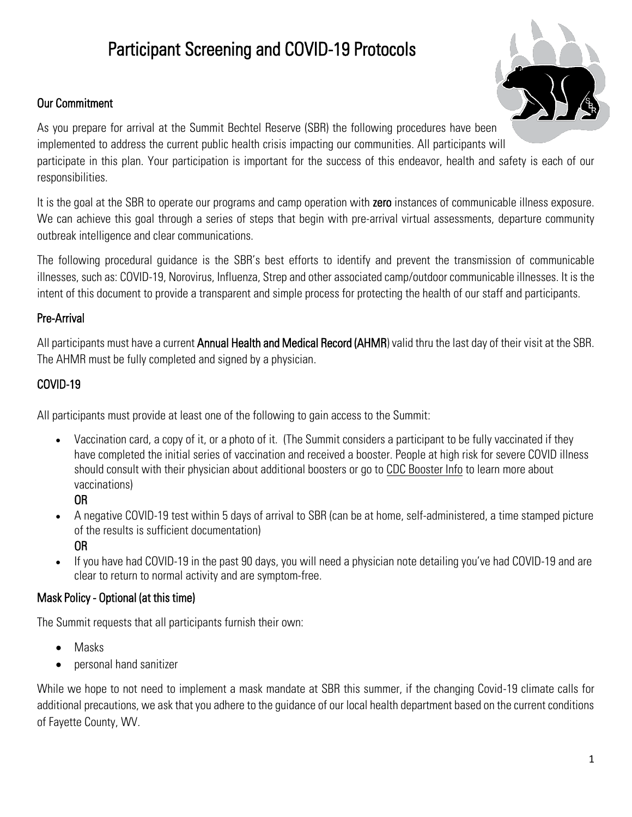# Participant Screening and COVID-19 Protocols

### Our Commitment



As you prepare for arrival at the Summit Bechtel Reserve (SBR) the following procedures have been implemented to address the current public health crisis impacting our communities. All participants will participate in this plan. Your participation is important for the success of this endeavor, health and safety is each of our responsibilities.

It is the goal at the SBR to operate our programs and camp operation with zero instances of communicable illness exposure. We can achieve this goal through a series of steps that begin with pre-arrival virtual assessments, departure community outbreak intelligence and clear communications.

The following procedural guidance is the SBR's best efforts to identify and prevent the transmission of communicable illnesses, such as: COVID-19, Norovirus, Influenza, Strep and other associated camp/outdoor communicable illnesses. It is the intent of this document to provide a transparent and simple process for protecting the health of our staff and participants.

#### Pre-Arrival

All participants must have a current Annual Health and Medical Record (AHMR) valid thru the last day of their visit at the SBR. The AHMR must be fully completed and signed by a physician.

# COVID-19

All participants must provide at least one of the following to gain access to the Summit:

• Vaccination card, a copy of it, or a photo of it. (The Summit considers a participant to be fully vaccinated if they have completed the initial series of vaccination and received a booster. People at high risk for severe COVID illness should consult with their physician about additional boosters or go to [CDC Booster Info](https://www.cdc.gov/coronavirus/2019-ncov/vaccines/booster-shot.html?s_cid=11737:cdc%20booster%20guidelines:sem.ga:p:RG:GM:gen:PTN:FY22) to learn more about vaccinations)

OR

- A negative COVID-19 test within 5 days of arrival to SBR (can be at home, self-administered, a time stamped picture of the results is sufficient documentation) OR
- If you have had COVID-19 in the past 90 days, you will need a physician note detailing you've had COVID-19 and are clear to return to normal activity and are symptom-free.

#### Mask Policy - Optional (at this time)

The Summit requests that all participants furnish their own:

- Masks
- personal hand sanitizer

While we hope to not need to implement a mask mandate at SBR this summer, if the changing Covid-19 climate calls for additional precautions, we ask that you adhere to the guidance of our local health department based on the current conditions of Fayette County, WV.